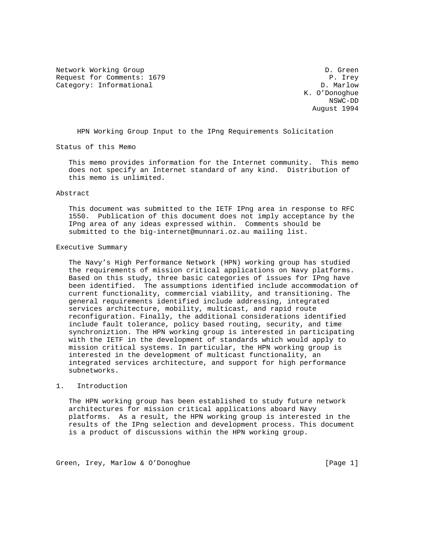Network Working Group D. Green Request for Comments: 1679 P. Irey<br>Category: Informational Particle Research P. Marlow Category: Informational

 K. O'Donoghue NSWC-DD August 1994

HPN Working Group Input to the IPng Requirements Solicitation

Status of this Memo

 This memo provides information for the Internet community. This memo does not specify an Internet standard of any kind. Distribution of this memo is unlimited.

## Abstract

 This document was submitted to the IETF IPng area in response to RFC 1550. Publication of this document does not imply acceptance by the IPng area of any ideas expressed within. Comments should be submitted to the big-internet@munnari.oz.au mailing list.

#### Executive Summary

 The Navy's High Performance Network (HPN) working group has studied the requirements of mission critical applications on Navy platforms. Based on this study, three basic categories of issues for IPng have been identified. The assumptions identified include accommodation of current functionality, commercial viability, and transitioning. The general requirements identified include addressing, integrated services architecture, mobility, multicast, and rapid route reconfiguration. Finally, the additional considerations identified include fault tolerance, policy based routing, security, and time synchroniztion. The HPN working group is interested in participating with the IETF in the development of standards which would apply to mission critical systems. In particular, the HPN working group is interested in the development of multicast functionality, an integrated services architecture, and support for high performance subnetworks.

## 1. Introduction

 The HPN working group has been established to study future network architectures for mission critical applications aboard Navy platforms. As a result, the HPN working group is interested in the results of the IPng selection and development process. This document is a product of discussions within the HPN working group.

Green, Irey, Marlow & O'Donoghue [Page 1]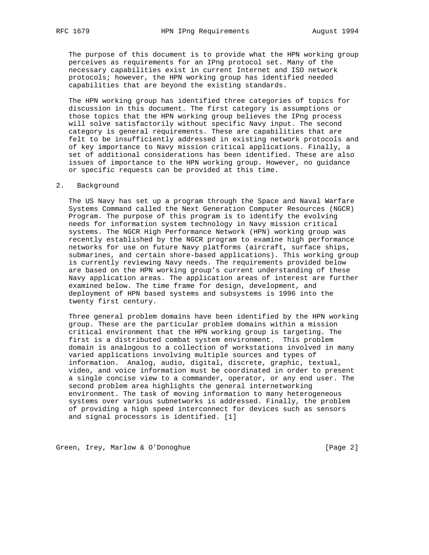The purpose of this document is to provide what the HPN working group perceives as requirements for an IPng protocol set. Many of the necessary capabilities exist in current Internet and ISO network protocols; however, the HPN working group has identified needed capabilities that are beyond the existing standards.

 The HPN working group has identified three categories of topics for discussion in this document. The first category is assumptions or those topics that the HPN working group believes the IPng process will solve satisfactorily without specific Navy input. The second category is general requirements. These are capabilities that are felt to be insufficiently addressed in existing network protocols and of key importance to Navy mission critical applications. Finally, a set of additional considerations has been identified. These are also issues of importance to the HPN working group. However, no guidance or specific requests can be provided at this time.

## 2. Background

 The US Navy has set up a program through the Space and Naval Warfare Systems Command called the Next Generation Computer Resources (NGCR) Program. The purpose of this program is to identify the evolving needs for information system technology in Navy mission critical systems. The NGCR High Performance Network (HPN) working group was recently established by the NGCR program to examine high performance networks for use on future Navy platforms (aircraft, surface ships, submarines, and certain shore-based applications). This working group is currently reviewing Navy needs. The requirements provided below are based on the HPN working group's current understanding of these Navy application areas. The application areas of interest are further examined below. The time frame for design, development, and deployment of HPN based systems and subsystems is 1996 into the twenty first century.

 Three general problem domains have been identified by the HPN working group. These are the particular problem domains within a mission critical environment that the HPN working group is targeting. The first is a distributed combat system environment. This problem domain is analogous to a collection of workstations involved in many varied applications involving multiple sources and types of information. Analog, audio, digital, discrete, graphic, textual, video, and voice information must be coordinated in order to present a single concise view to a commander, operator, or any end user. The second problem area highlights the general internetworking environment. The task of moving information to many heterogeneous systems over various subnetworks is addressed. Finally, the problem of providing a high speed interconnect for devices such as sensors and signal processors is identified. [1]

Green, Irey, Marlow & O'Donoghue [Page 2]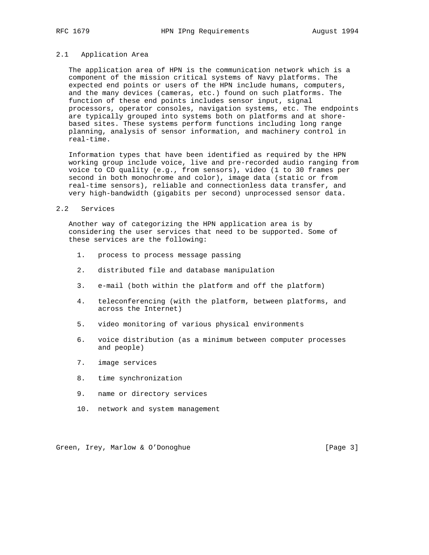## 2.1 Application Area

 The application area of HPN is the communication network which is a component of the mission critical systems of Navy platforms. The expected end points or users of the HPN include humans, computers, and the many devices (cameras, etc.) found on such platforms. The function of these end points includes sensor input, signal processors, operator consoles, navigation systems, etc. The endpoints are typically grouped into systems both on platforms and at shore based sites. These systems perform functions including long range planning, analysis of sensor information, and machinery control in real-time.

 Information types that have been identified as required by the HPN working group include voice, live and pre-recorded audio ranging from voice to CD quality (e.g., from sensors), video (1 to 30 frames per second in both monochrome and color), image data (static or from real-time sensors), reliable and connectionless data transfer, and very high-bandwidth (gigabits per second) unprocessed sensor data.

## 2.2 Services

 Another way of categorizing the HPN application area is by considering the user services that need to be supported. Some of these services are the following:

- 1. process to process message passing
- 2. distributed file and database manipulation
- 3. e-mail (both within the platform and off the platform)
- 4. teleconferencing (with the platform, between platforms, and across the Internet)
- 5. video monitoring of various physical environments
- 6. voice distribution (as a minimum between computer processes and people)
- 7. image services
- 8. time synchronization
- 9. name or directory services
- 10. network and system management

Green, Irey, Marlow & O'Donoghue [Page 3]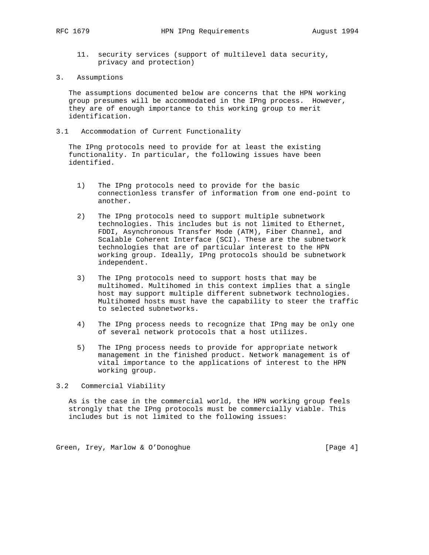- 11. security services (support of multilevel data security, privacy and protection)
- 3. Assumptions

 The assumptions documented below are concerns that the HPN working group presumes will be accommodated in the IPng process. However, they are of enough importance to this working group to merit identification.

3.1 Accommodation of Current Functionality

 The IPng protocols need to provide for at least the existing functionality. In particular, the following issues have been identified.

- 1) The IPng protocols need to provide for the basic connectionless transfer of information from one end-point to another.
- 2) The IPng protocols need to support multiple subnetwork technologies. This includes but is not limited to Ethernet, FDDI, Asynchronous Transfer Mode (ATM), Fiber Channel, and Scalable Coherent Interface (SCI). These are the subnetwork technologies that are of particular interest to the HPN working group. Ideally, IPng protocols should be subnetwork independent.
- 3) The IPng protocols need to support hosts that may be multihomed. Multihomed in this context implies that a single host may support multiple different subnetwork technologies. Multihomed hosts must have the capability to steer the traffic to selected subnetworks.
- 4) The IPng process needs to recognize that IPng may be only one of several network protocols that a host utilizes.
- 5) The IPng process needs to provide for appropriate network management in the finished product. Network management is of vital importance to the applications of interest to the HPN working group.

## 3.2 Commercial Viability

 As is the case in the commercial world, the HPN working group feels strongly that the IPng protocols must be commercially viable. This includes but is not limited to the following issues:

Green, Irey, Marlow & O'Donoghue [Page 4]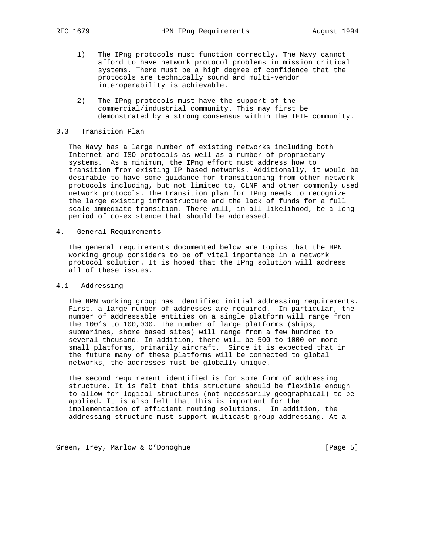- 1) The IPng protocols must function correctly. The Navy cannot afford to have network protocol problems in mission critical systems. There must be a high degree of confidence that the protocols are technically sound and multi-vendor interoperability is achievable.
- 2) The IPng protocols must have the support of the commercial/industrial community. This may first be demonstrated by a strong consensus within the IETF community.

## 3.3 Transition Plan

 The Navy has a large number of existing networks including both Internet and ISO protocols as well as a number of proprietary systems. As a minimum, the IPng effort must address how to transition from existing IP based networks. Additionally, it would be desirable to have some guidance for transitioning from other network protocols including, but not limited to, CLNP and other commonly used network protocols. The transition plan for IPng needs to recognize the large existing infrastructure and the lack of funds for a full scale immediate transition. There will, in all likelihood, be a long period of co-existence that should be addressed.

4. General Requirements

 The general requirements documented below are topics that the HPN working group considers to be of vital importance in a network protocol solution. It is hoped that the IPng solution will address all of these issues.

## 4.1 Addressing

 The HPN working group has identified initial addressing requirements. First, a large number of addresses are required. In particular, the number of addressable entities on a single platform will range from the 100's to 100,000. The number of large platforms (ships, submarines, shore based sites) will range from a few hundred to several thousand. In addition, there will be 500 to 1000 or more small platforms, primarily aircraft. Since it is expected that in the future many of these platforms will be connected to global networks, the addresses must be globally unique.

 The second requirement identified is for some form of addressing structure. It is felt that this structure should be flexible enough to allow for logical structures (not necessarily geographical) to be applied. It is also felt that this is important for the implementation of efficient routing solutions. In addition, the addressing structure must support multicast group addressing. At a

Green, Irey, Marlow & O'Donoghue [Page 5]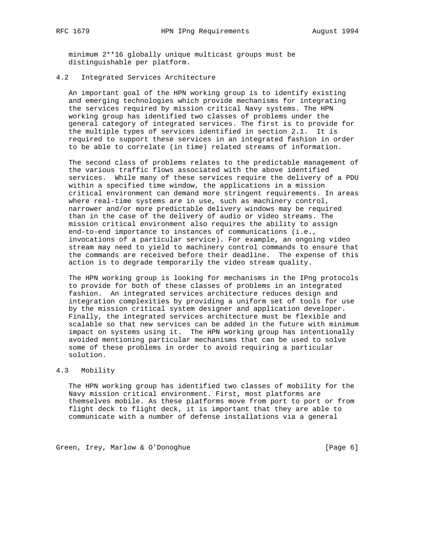minimum 2\*\*16 globally unique multicast groups must be distinguishable per platform.

# 4.2 Integrated Services Architecture

 An important goal of the HPN working group is to identify existing and emerging technologies which provide mechanisms for integrating the services required by mission critical Navy systems. The HPN working group has identified two classes of problems under the general category of integrated services. The first is to provide for the multiple types of services identified in section 2.1. It is required to support these services in an integrated fashion in order to be able to correlate (in time) related streams of information.

 The second class of problems relates to the predictable management of the various traffic flows associated with the above identified services. While many of these services require the delivery of a PDU within a specified time window, the applications in a mission critical environment can demand more stringent requirements. In areas where real-time systems are in use, such as machinery control, narrower and/or more predictable delivery windows may be required than in the case of the delivery of audio or video streams. The mission critical environment also requires the ability to assign end-to-end importance to instances of communications (i.e., invocations of a particular service). For example, an ongoing video stream may need to yield to machinery control commands to ensure that the commands are received before their deadline. The expense of this action is to degrade temporarily the video stream quality.

 The HPN working group is looking for mechanisms in the IPng protocols to provide for both of these classes of problems in an integrated fashion. An integrated services architecture reduces design and integration complexities by providing a uniform set of tools for use by the mission critical system designer and application developer. Finally, the integrated services architecture must be flexible and scalable so that new services can be added in the future with minimum impact on systems using it. The HPN working group has intentionally avoided mentioning particular mechanisms that can be used to solve some of these problems in order to avoid requiring a particular solution.

## 4.3 Mobility

 The HPN working group has identified two classes of mobility for the Navy mission critical environment. First, most platforms are themselves mobile. As these platforms move from port to port or from flight deck to flight deck, it is important that they are able to communicate with a number of defense installations via a general

Green, Irey, Marlow & O'Donoghue [Page 6]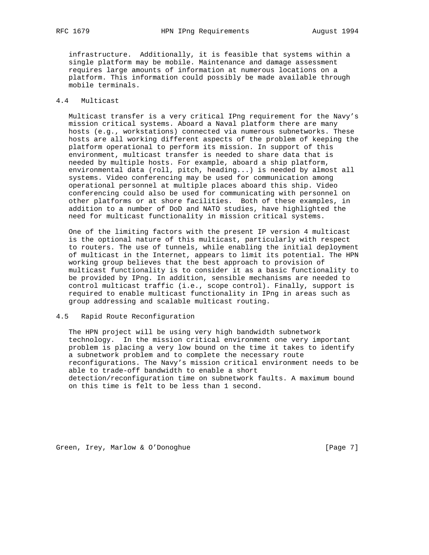infrastructure. Additionally, it is feasible that systems within a single platform may be mobile. Maintenance and damage assessment requires large amounts of information at numerous locations on a platform. This information could possibly be made available through mobile terminals.

## 4.4 Multicast

 Multicast transfer is a very critical IPng requirement for the Navy's mission critical systems. Aboard a Naval platform there are many hosts (e.g., workstations) connected via numerous subnetworks. These hosts are all working different aspects of the problem of keeping the platform operational to perform its mission. In support of this environment, multicast transfer is needed to share data that is needed by multiple hosts. For example, aboard a ship platform, environmental data (roll, pitch, heading...) is needed by almost all systems. Video conferencing may be used for communication among operational personnel at multiple places aboard this ship. Video conferencing could also be used for communicating with personnel on other platforms or at shore facilities. Both of these examples, in addition to a number of DoD and NATO studies, have highlighted the need for multicast functionality in mission critical systems.

 One of the limiting factors with the present IP version 4 multicast is the optional nature of this multicast, particularly with respect to routers. The use of tunnels, while enabling the initial deployment of multicast in the Internet, appears to limit its potential. The HPN working group believes that the best approach to provision of multicast functionality is to consider it as a basic functionality to be provided by IPng. In addition, sensible mechanisms are needed to control multicast traffic (i.e., scope control). Finally, support is required to enable multicast functionality in IPng in areas such as group addressing and scalable multicast routing.

## 4.5 Rapid Route Reconfiguration

 The HPN project will be using very high bandwidth subnetwork technology. In the mission critical environment one very important problem is placing a very low bound on the time it takes to identify a subnetwork problem and to complete the necessary route reconfigurations. The Navy's mission critical environment needs to be able to trade-off bandwidth to enable a short detection/reconfiguration time on subnetwork faults. A maximum bound on this time is felt to be less than 1 second.

Green, Irey, Marlow & O'Donoghue [Page 7]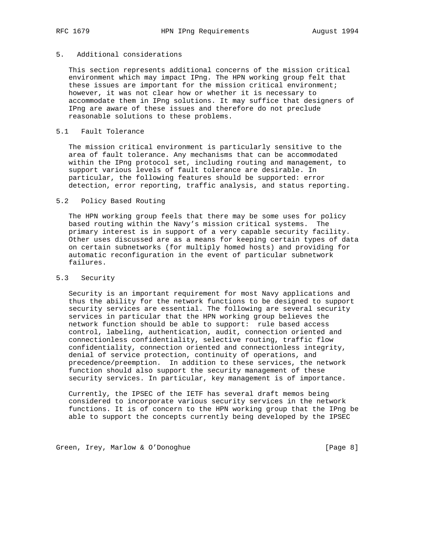## 5. Additional considerations

 This section represents additional concerns of the mission critical environment which may impact IPng. The HPN working group felt that these issues are important for the mission critical environment; however, it was not clear how or whether it is necessary to accommodate them in IPng solutions. It may suffice that designers of IPng are aware of these issues and therefore do not preclude reasonable solutions to these problems.

## 5.1 Fault Tolerance

 The mission critical environment is particularly sensitive to the area of fault tolerance. Any mechanisms that can be accommodated within the IPng protocol set, including routing and management, to support various levels of fault tolerance are desirable. In particular, the following features should be supported: error detection, error reporting, traffic analysis, and status reporting.

## 5.2 Policy Based Routing

 The HPN working group feels that there may be some uses for policy based routing within the Navy's mission critical systems. The primary interest is in support of a very capable security facility. Other uses discussed are as a means for keeping certain types of data on certain subnetworks (for multiply homed hosts) and providing for automatic reconfiguration in the event of particular subnetwork failures.

## 5.3 Security

 Security is an important requirement for most Navy applications and thus the ability for the network functions to be designed to support security services are essential. The following are several security services in particular that the HPN working group believes the network function should be able to support: rule based access control, labeling, authentication, audit, connection oriented and connectionless confidentiality, selective routing, traffic flow confidentiality, connection oriented and connectionless integrity, denial of service protection, continuity of operations, and precedence/preemption. In addition to these services, the network function should also support the security management of these security services. In particular, key management is of importance.

 Currently, the IPSEC of the IETF has several draft memos being considered to incorporate various security services in the network functions. It is of concern to the HPN working group that the IPng be able to support the concepts currently being developed by the IPSEC

Green, Irey, Marlow & O'Donoghue [Page 8]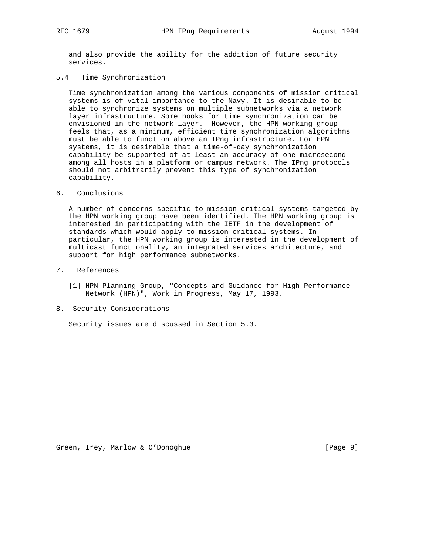and also provide the ability for the addition of future security services.

5.4 Time Synchronization

 Time synchronization among the various components of mission critical systems is of vital importance to the Navy. It is desirable to be able to synchronize systems on multiple subnetworks via a network layer infrastructure. Some hooks for time synchronization can be envisioned in the network layer. However, the HPN working group feels that, as a minimum, efficient time synchronization algorithms must be able to function above an IPng infrastructure. For HPN systems, it is desirable that a time-of-day synchronization capability be supported of at least an accuracy of one microsecond among all hosts in a platform or campus network. The IPng protocols should not arbitrarily prevent this type of synchronization capability.

## 6. Conclusions

 A number of concerns specific to mission critical systems targeted by the HPN working group have been identified. The HPN working group is interested in participating with the IETF in the development of standards which would apply to mission critical systems. In particular, the HPN working group is interested in the development of multicast functionality, an integrated services architecture, and support for high performance subnetworks.

- 7. References
	- [1] HPN Planning Group, "Concepts and Guidance for High Performance Network (HPN)", Work in Progress, May 17, 1993.
- 8. Security Considerations

Security issues are discussed in Section 5.3.